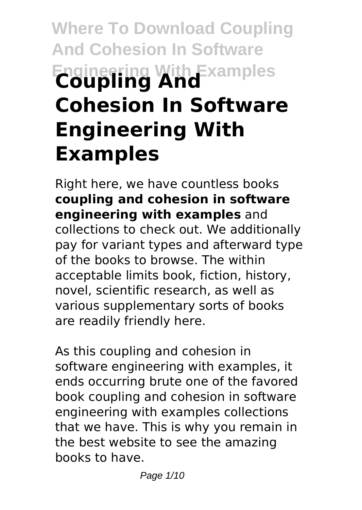# **Where To Download Coupling And Cohesion In Software Engineering With Examples Coupling And Cohesion In Software Engineering With Examples**

Right here, we have countless books **coupling and cohesion in software engineering with examples** and collections to check out. We additionally pay for variant types and afterward type of the books to browse. The within acceptable limits book, fiction, history, novel, scientific research, as well as various supplementary sorts of books are readily friendly here.

As this coupling and cohesion in software engineering with examples, it ends occurring brute one of the favored book coupling and cohesion in software engineering with examples collections that we have. This is why you remain in the best website to see the amazing books to have.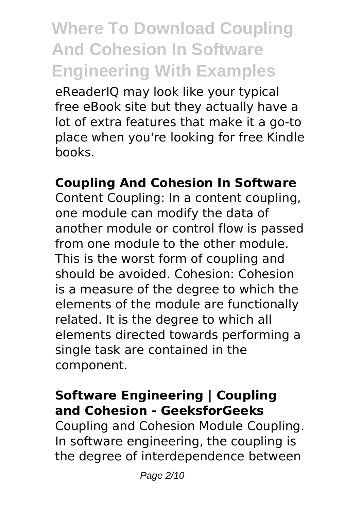# **Where To Download Coupling And Cohesion In Software Engineering With Examples**

eReaderIQ may look like your typical free eBook site but they actually have a lot of extra features that make it a go-to place when you're looking for free Kindle books.

### **Coupling And Cohesion In Software**

Content Coupling: In a content coupling, one module can modify the data of another module or control flow is passed from one module to the other module. This is the worst form of coupling and should be avoided. Cohesion: Cohesion is a measure of the degree to which the elements of the module are functionally related. It is the degree to which all elements directed towards performing a single task are contained in the component.

### **Software Engineering | Coupling and Cohesion - GeeksforGeeks**

Coupling and Cohesion Module Coupling. In software engineering, the coupling is the degree of interdependence between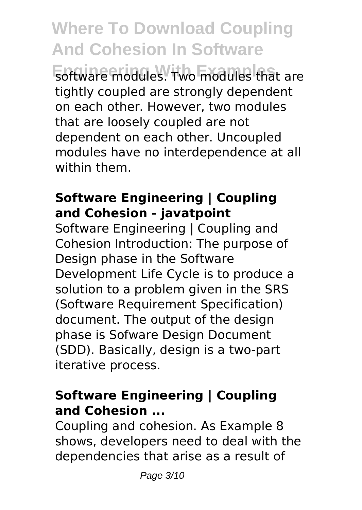**Where To Download Coupling And Cohesion In Software Engineering With Examples** software modules. Two modules that are tightly coupled are strongly dependent on each other. However, two modules that are loosely coupled are not dependent on each other. Uncoupled modules have no interdependence at all within them.

### **Software Engineering | Coupling and Cohesion - javatpoint**

Software Engineering | Coupling and Cohesion Introduction: The purpose of Design phase in the Software Development Life Cycle is to produce a solution to a problem given in the SRS (Software Requirement Specification) document. The output of the design phase is Sofware Design Document (SDD). Basically, design is a two-part iterative process.

# **Software Engineering | Coupling and Cohesion ...**

Coupling and cohesion. As Example 8 shows, developers need to deal with the dependencies that arise as a result of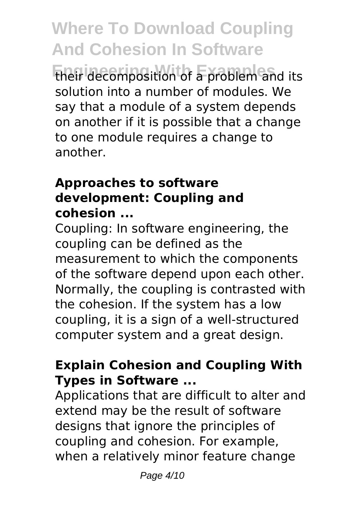**Where To Download Coupling And Cohesion In Software Engineering With Examples** their decomposition of a problem and its solution into a number of modules. We say that a module of a system depends on another if it is possible that a change to one module requires a change to another.

#### **Approaches to software development: Coupling and cohesion ...**

Coupling: In software engineering, the coupling can be defined as the measurement to which the components of the software depend upon each other. Normally, the coupling is contrasted with the cohesion. If the system has a low coupling, it is a sign of a well-structured computer system and a great design.

#### **Explain Cohesion and Coupling With Types in Software ...**

Applications that are difficult to alter and extend may be the result of software designs that ignore the principles of coupling and cohesion. For example, when a relatively minor feature change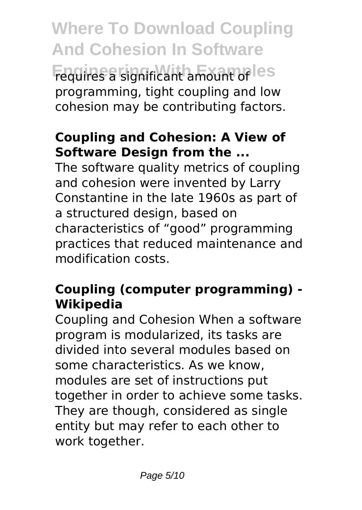**Where To Download Coupling And Cohesion In Software Fequires a significant amount of les** programming, tight coupling and low cohesion may be contributing factors.

### **Coupling and Cohesion: A View of Software Design from the ...**

The software quality metrics of coupling and cohesion were invented by Larry Constantine in the late 1960s as part of a structured design, based on characteristics of "good" programming practices that reduced maintenance and modification costs.

# **Coupling (computer programming) - Wikipedia**

Coupling and Cohesion When a software program is modularized, its tasks are divided into several modules based on some characteristics. As we know, modules are set of instructions put together in order to achieve some tasks. They are though, considered as single entity but may refer to each other to work together.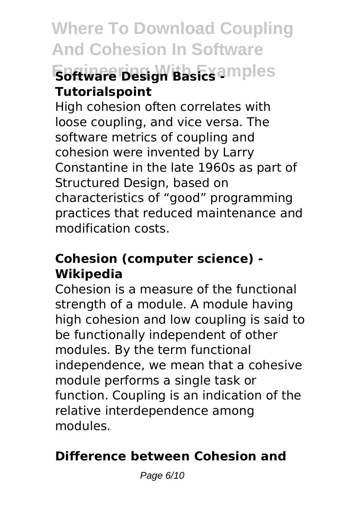# **Where To Download Coupling And Cohesion In Software Software besign Basics amples Tutorialspoint**

High cohesion often correlates with loose coupling, and vice versa. The software metrics of coupling and cohesion were invented by Larry Constantine in the late 1960s as part of Structured Design, based on characteristics of "good" programming practices that reduced maintenance and modification costs.

### **Cohesion (computer science) - Wikipedia**

Cohesion is a measure of the functional strength of a module. A module having high cohesion and low coupling is said to be functionally independent of other modules. By the term functional independence, we mean that a cohesive module performs a single task or function. Coupling is an indication of the relative interdependence among modules.

# **Difference between Cohesion and**

Page 6/10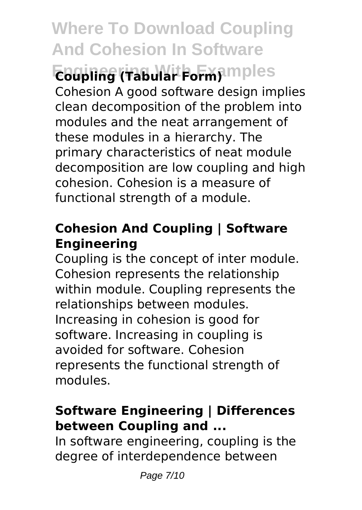**Where To Download Coupling And Cohesion In Software Engineering With Examples Coupling (Tabular Form)** Cohesion A good software design implies clean decomposition of the problem into modules and the neat arrangement of these modules in a hierarchy. The primary characteristics of neat module decomposition are low coupling and high cohesion. Cohesion is a measure of functional strength of a module.

# **Cohesion And Coupling | Software Engineering**

Coupling is the concept of inter module. Cohesion represents the relationship within module. Coupling represents the relationships between modules. Increasing in cohesion is good for software. Increasing in coupling is avoided for software. Cohesion represents the functional strength of modules.

### **Software Engineering | Differences between Coupling and ...**

In software engineering, coupling is the degree of interdependence between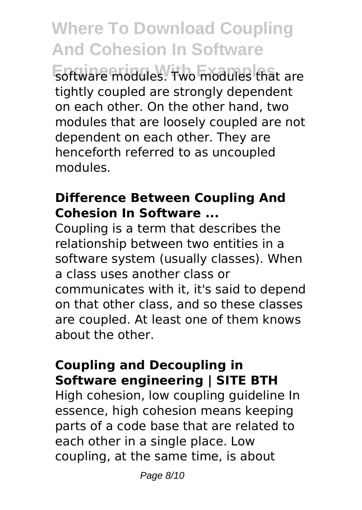**Where To Download Coupling And Cohesion In Software Engineering With Examples** software modules. Two modules that are tightly coupled are strongly dependent on each other. On the other hand, two modules that are loosely coupled are not dependent on each other. They are henceforth referred to as uncoupled modules.

### **Difference Between Coupling And Cohesion In Software ...**

Coupling is a term that describes the relationship between two entities in a software system (usually classes). When a class uses another class or communicates with it, it's said to depend on that other class, and so these classes are coupled. At least one of them knows about the other.

### **Coupling and Decoupling in Software engineering | SITE BTH**

High cohesion, low coupling guideline In essence, high cohesion means keeping parts of a code base that are related to each other in a single place. Low coupling, at the same time, is about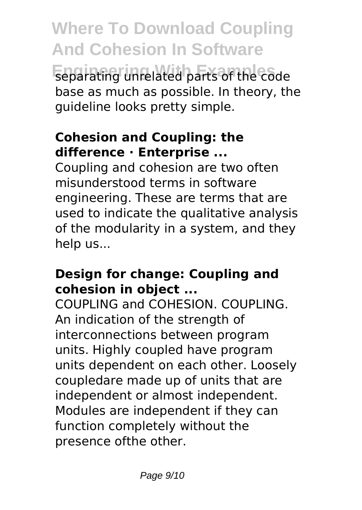**Where To Download Coupling And Cohesion In Software Engineering With Examples** separating unrelated parts of the code base as much as possible. In theory, the guideline looks pretty simple.

# **Cohesion and Coupling: the difference · Enterprise ...**

Coupling and cohesion are two often misunderstood terms in software engineering. These are terms that are used to indicate the qualitative analysis of the modularity in a system, and they help us...

### **Design for change: Coupling and cohesion in object ...**

COUPLING and COHESION. COUPLING. An indication of the strength of interconnections between program units. Highly coupled have program units dependent on each other. Loosely coupledare made up of units that are independent or almost independent. Modules are independent if they can function completely without the presence ofthe other.